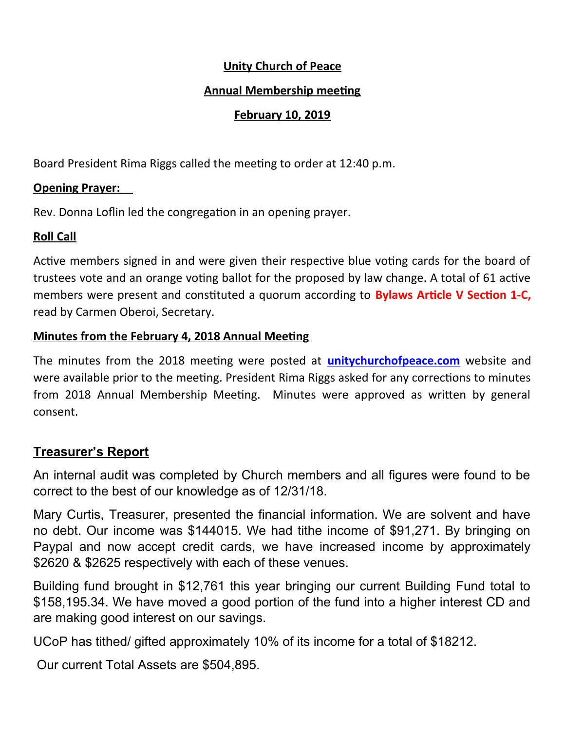### **Unity Church of Peace**

### **Annual Membership meeting**

## **February 10, 2019**

Board President Rima Riggs called the meeting to order at 12:40 p.m.

### **Opening Prayer:**

Rev. Donna Loflin led the congregation in an opening prayer.

## **Roll Call**

Active members signed in and were given their respective blue voting cards for the board of trustees vote and an orange voting ballot for the proposed by law change. A total of 61 active members were present and constituted a quorum according to **Bylaws Article V Section 1-C,** read by Carmen Oberoi, Secretary.

#### **Minutes from the February 4, 2018 Annual Meeting**

The minutes from the 2018 meeting were posted at **unitychurchofpeace.com** website and were available prior to the meeting. President Rima Riggs asked for any corrections to minutes from 2018 Annual Membership Meeting. Minutes were approved as written by general consent.

## **Treasurer's Report**

An internal audit was completed by Church members and all figures were found to be correct to the best of our knowledge as of 12/31/18.

Mary Curtis, Treasurer, presented the financial information. We are solvent and have no debt. Our income was \$144015. We had tithe income of \$91,271. By bringing on Paypal and now accept credit cards, we have increased income by approximately \$2620 & \$2625 respectively with each of these venues.

Building fund brought in \$12,761 this year bringing our current Building Fund total to \$158,195.34. We have moved a good portion of the fund into a higher interest CD and are making good interest on our savings.

UCoP has tithed/ gifted approximately 10% of its income for a total of \$18212.

Our current Total Assets are \$504,895.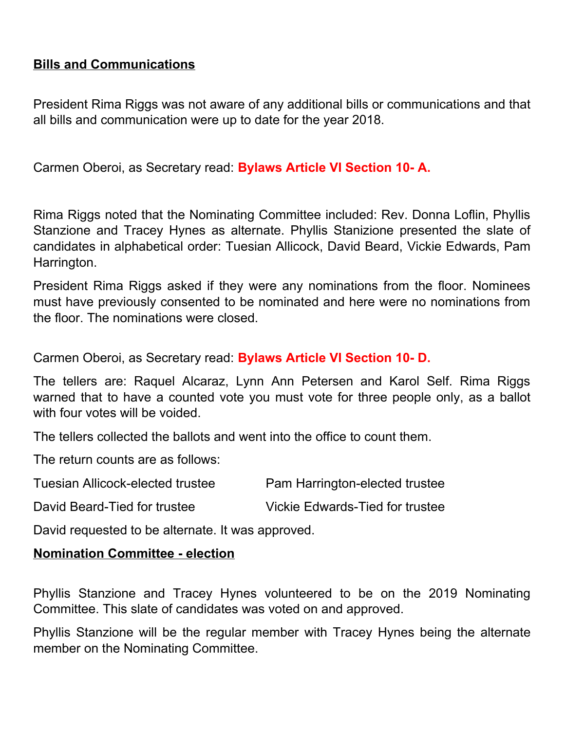## **Bills and Communications**

President Rima Riggs was not aware of any additional bills or communications and that all bills and communication were up to date for the year 2018.

Carmen Oberoi, as Secretary read: **Bylaws Article VI Section 10- A.**

Rima Riggs noted that the Nominating Committee included: Rev. Donna Loflin, Phyllis Stanzione and Tracey Hynes as alternate. Phyllis Stanizione presented the slate of candidates in alphabetical order: Tuesian Allicock, David Beard, Vickie Edwards, Pam Harrington.

President Rima Riggs asked if they were any nominations from the floor. Nominees must have previously consented to be nominated and here were no nominations from the floor. The nominations were closed.

Carmen Oberoi, as Secretary read: **Bylaws Article VI Section 10- D.**

The tellers are: Raquel Alcaraz, Lynn Ann Petersen and Karol Self. Rima Riggs warned that to have a counted vote you must vote for three people only, as a ballot with four votes will be voided.

The tellers collected the ballots and went into the office to count them.

The return counts are as follows:

| <b>Tuesian Allicock-elected trustee</b> | Pam Harrington-elected trustee  |
|-----------------------------------------|---------------------------------|
| David Beard-Tied for trustee            | Vickie Edwards-Tied for trustee |

David requested to be alternate. It was approved.

#### **Nomination Committee - election**

Phyllis Stanzione and Tracey Hynes volunteered to be on the 2019 Nominating Committee. This slate of candidates was voted on and approved.

Phyllis Stanzione will be the regular member with Tracey Hynes being the alternate member on the Nominating Committee.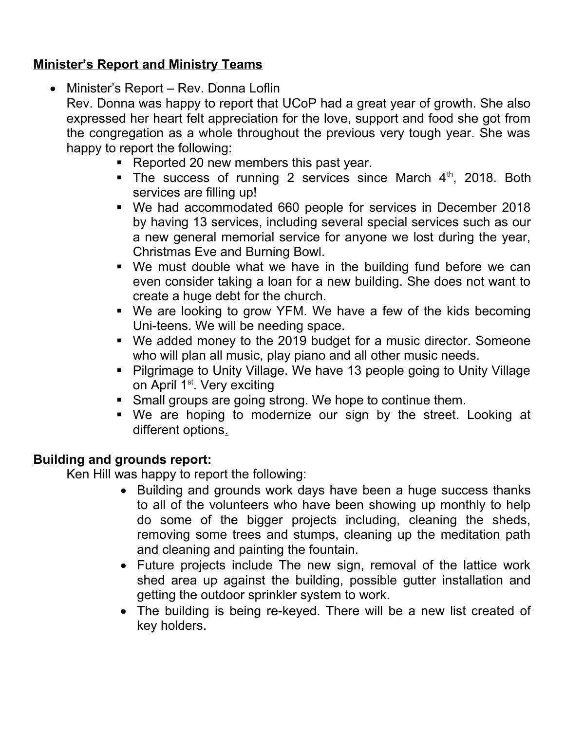# **Minister's Report and Ministry Teams**

• Minister's Report – Rev. Donna Loflin

Rev. Donna was happy to report that UCoP had a great year of growth. She also expressed her heart felt appreciation for the love, support and food she got from the congregation as a whole throughout the previous very tough year. She was happy to report the following:

- Reported 20 new members this past year.
- The success of running 2 services since March  $4<sup>th</sup>$ , 2018. Both services are filling up!
- We had accommodated 660 people for services in December 2018 by having 13 services, including several special services such as our a new general memorial service for anyone we lost during the year, Christmas Eve and Burning Bowl.
- We must double what we have in the building fund before we can even consider taking a loan for a new building. She does not want to create a huge debt for the church.
- We are looking to grow YFM. We have a few of the kids becoming Uni-teens. We will be needing space.
- We added money to the 2019 budget for a music director. Someone who will plan all music, play piano and all other music needs.
- Pilgrimage to Unity Village. We have 13 people going to Unity Village on April 1<sup>st</sup>. Very exciting
- **Small groups are going strong. We hope to continue them.**
- We are hoping to modernize our sign by the street. Looking at different options.

## **Building and grounds report:**

Ken Hill was happy to report the following:

- Building and grounds work days have been a huge success thanks to all of the volunteers who have been showing up monthly to help do some of the bigger projects including, cleaning the sheds, removing some trees and stumps, cleaning up the meditation path and cleaning and painting the fountain.
- Future projects include The new sign, removal of the lattice work shed area up against the building, possible gutter installation and getting the outdoor sprinkler system to work.
- The building is being re-keyed. There will be a new list created of key holders.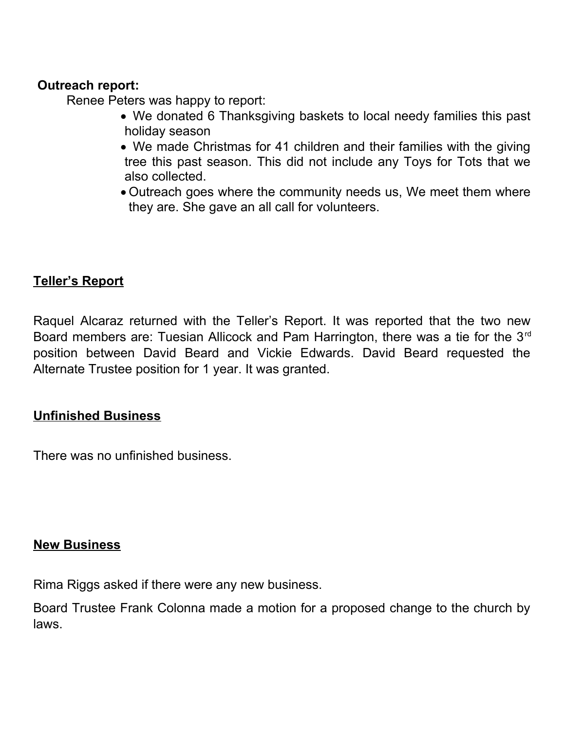#### **Outreach report:**

Renee Peters was happy to report:

- We donated 6 Thanksgiving baskets to local needy families this past holiday season
- We made Christmas for 41 children and their families with the giving tree this past season. This did not include any Toys for Tots that we also collected.
- Outreach goes where the community needs us, We meet them where they are. She gave an all call for volunteers.

## **Teller's Report**

Raquel Alcaraz returned with the Teller's Report. It was reported that the two new Board members are: Tuesian Allicock and Pam Harrington, there was a tie for the 3<sup>rd</sup> position between David Beard and Vickie Edwards. David Beard requested the Alternate Trustee position for 1 year. It was granted.

### **Unfinished Business**

There was no unfinished business.

#### **New Business**

Rima Riggs asked if there were any new business.

Board Trustee Frank Colonna made a motion for a proposed change to the church by laws.